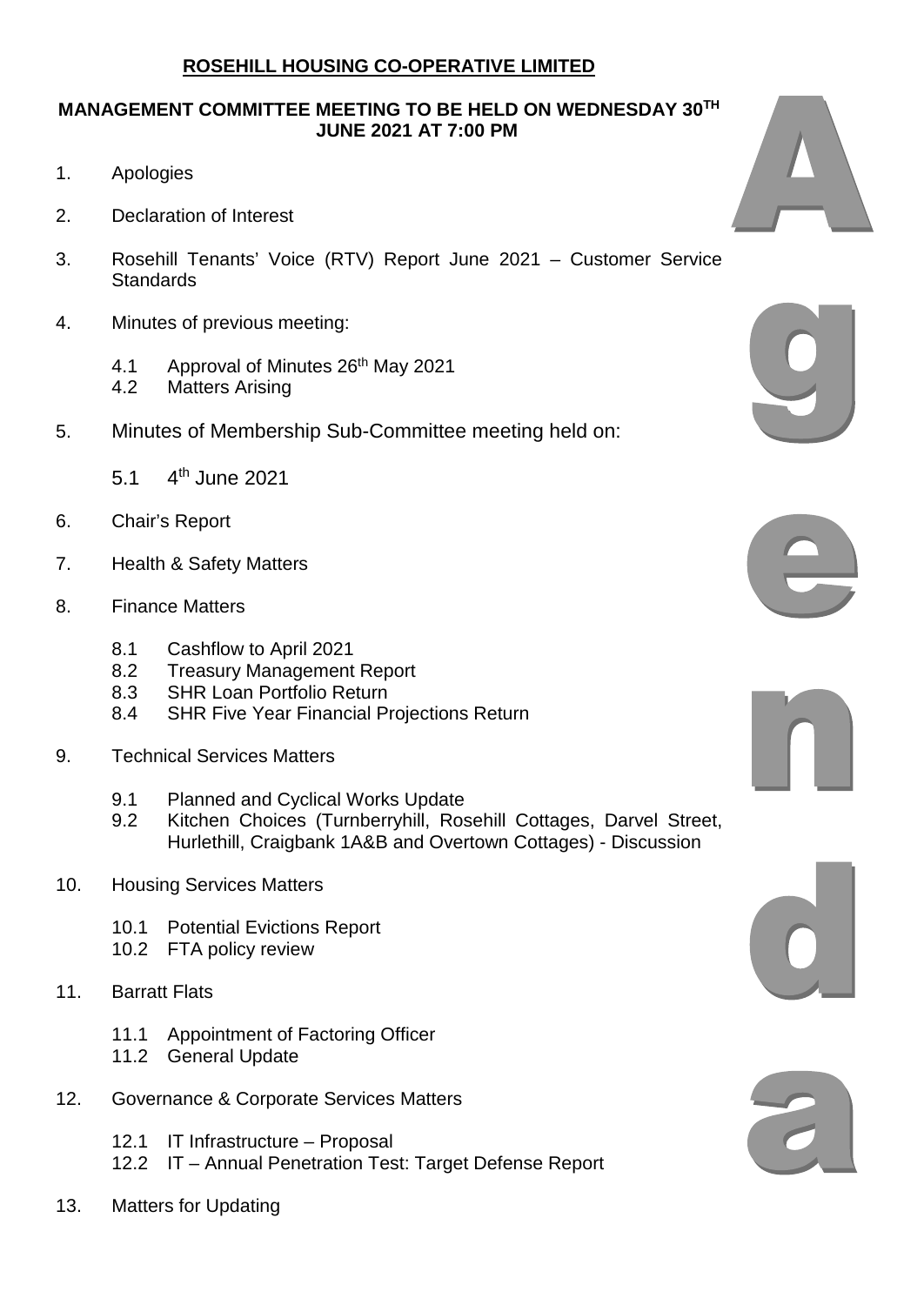## **ROSEHILL HOUSING CO-OPERATIVE LIMITED**

## **MANAGEMENT COMMITTEE MEETING TO BE HELD ON WEDNESDAY 30TH JUNE 2021 AT 7:00 PM**

- 1. Apologies
- 2. Declaration of Interest
- 3. Rosehill Tenants' Voice (RTV) Report June 2021 Customer Service Standards
- 4. Minutes of previous meeting:
	- 4.1 Approval of Minutes 26<sup>th</sup> May 2021
	- 4.2 Matters Arising
- 5. Minutes of Membership Sub-Committee meeting held on:
	- 5.1 4th June 2021
- 6. Chair's Report
- 7. Health & Safety Matters
- 8. Finance Matters
	- 8.1 Cashflow to April 2021
	- 8.2 Treasury Management Report
	- 8.3 SHR Loan Portfolio Return
	- 8.4 SHR Five Year Financial Projections Return
- 9. Technical Services Matters
	- 9.1 Planned and Cyclical Works Update
	- 9.2 Kitchen Choices (Turnberryhill, Rosehill Cottages, Darvel Street, Hurlethill, Craigbank 1A&B and Overtown Cottages) - Discussion
- 10. Housing Services Matters
	- 10.1 Potential Evictions Report
	- 10.2 FTA policy review
- 11. Barratt Flats
	- 11.1 Appointment of Factoring Officer
	- 11.2 General Update
- 12. Governance & Corporate Services Matters
	- 12.1 IT Infrastructure Proposal
	- 12.2 IT Annual Penetration Test: Target Defense Report
- 13. Matters for Updating